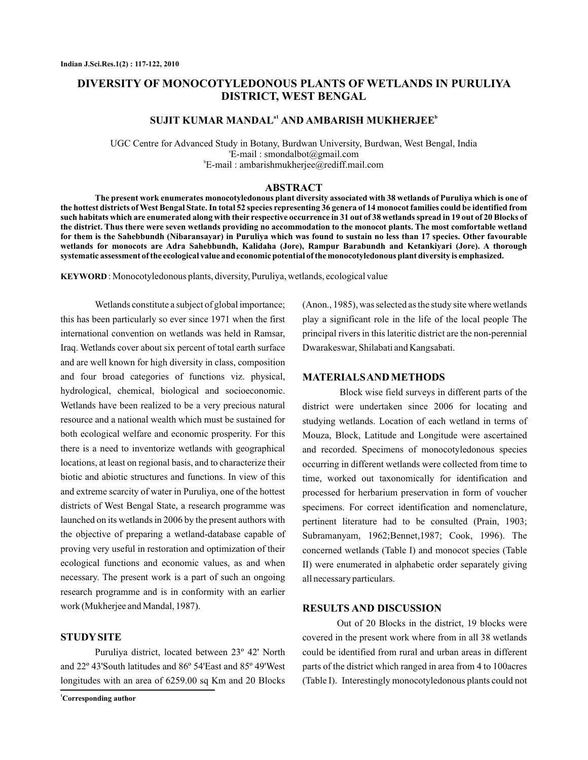# **DIVERSITY OF MONOCOTYLEDONOUS PLANTS OF WETLANDS IN PURULIYA DISTRICT, WEST BENGAL**

## **SUJIT KUMAR MANDAL<sup>a1</sup> AND AMBARISH MUKHERJEE<sup>b</sup>**

UGC Centre for Advanced Study in Botany, Burdwan University, Burdwan, West Bengal, India E-mail : a smondalbot@gmail.com E-mail : b ambarishmukherjee@rediff.mail.com

#### **ABSTRACT**

**The present work enumerates monocotyledonous plant diversity associated with 38 wetlands of Puruliya which is one of the hottest districts of West Bengal State. In total 52 species representing 36 genera of 14 monocot families could be identified from such habitats which are enumerated along with their respective occurrence in 31 out of 38 wetlands spread in 19 out of 20 Blocks of the district. Thus there were seven wetlands providing no accommodation to the monocot plants. The most comfortable wetland for them is the Sahebbundh (Nibaransayar) in Puruliya which was found to sustain no less than 17 species. Other favourable wetlands for monocots are Adra Sahebbundh, Kalidaha (Jore), Rampur Barabundh and Ketankiyari (Jore). A thorough systematic assessment of the ecological value and economic potential of the monocotyledonous plant diversity is emphasized.**

: Monocotyledonous plants, diversity, Puruliya, wetlands, ecological value **KEYWORD**

Wetlands constitute a subject of global importance; this has been particularly so ever since 1971 when the first international convention on wetlands was held in Ramsar, Iraq. Wetlands cover about six percent of total earth surface and are well known for high diversity in class, composition and four broad categories of functions viz. physical, hydrological, chemical, biological and socioeconomic. Wetlands have been realized to be a very precious natural resource and a national wealth which must be sustained for both ecological welfare and economic prosperity. For this there is a need to inventorize wetlands with geographical locations, at least on regional basis, and to characterize their biotic and abiotic structures and functions. In view of this and extreme scarcity of water in Puruliya, one of the hottest districts of West Bengal State, a research programme was launched on its wetlands in 2006 by the present authors with the objective of preparing a wetland-database capable of proving very useful in restoration and optimization of their ecological functions and economic values, as and when necessary. The present work is a part of such an ongoing research programme and is in conformity with an earlier work (Mukherjee and Mandal, 1987).

### **STUDYSITE**

Puruliya district, located between 23º 42' North and 22º 43'South latitudes and 86º 54'East and 85º 49'West longitudes with an area of 6259.00 sq Km and 20 Blocks (Anon., 1985), was selected as the study site where wetlands play a significant role in the life of the local people The principal rivers in this lateritic district are the non-perennial Dwarakeswar, Shilabati and Kangsabati.

#### **MATERIALSAND METHODS**

Block wise field surveys in different parts of the district were undertaken since 2006 for locating and studying wetlands. Location of each wetland in terms of Mouza, Block, Latitude and Longitude were ascertained and recorded. Specimens of monocotyledonous species occurring in different wetlands were collected from time to time, worked out taxonomically for identification and processed for herbarium preservation in form of voucher specimens. For correct identification and nomenclature, pertinent literature had to be consulted (Prain, 1903; Subramanyam, 1962;Bennet,1987; Cook, 1996). The concerned wetlands (Table I) and monocot species (Table II) were enumerated in alphabetic order separately giving all necessary particulars.

#### **RESULTS AND DISCUSSION**

Out of 20 Blocks in the district, 19 blocks were covered in the present work where from in all 38 wetlands could be identified from rural and urban areas in different parts of the district which ranged in area from 4 to 100acres (Table I). Interestingly monocotyledonous plants could not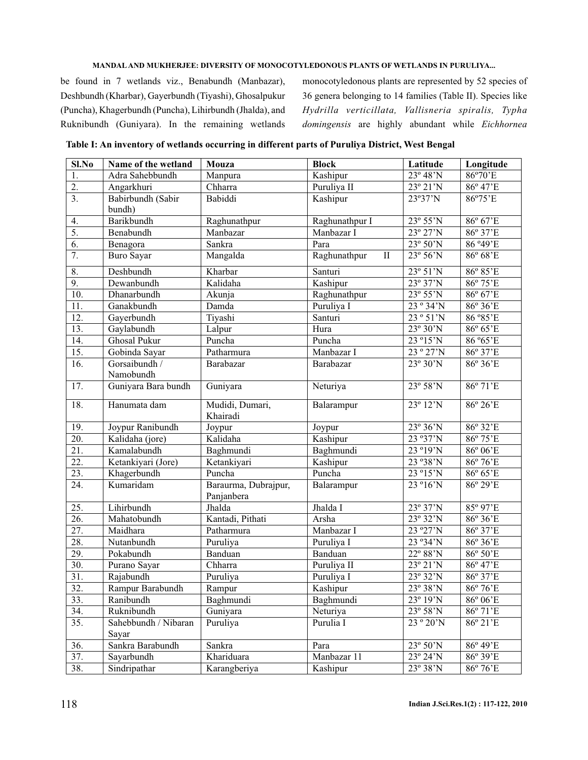be found in 7 wetlands viz., Benabundh (Manbazar), Deshbundh (Kharbar), Gayerbundh (Tiyashi), Ghosalpukur (Puncha), Khagerbundh (Puncha), Lihirbundh (Jhalda), and Ruknibundh (Guniyara). In the remaining wetlands

monocotyledonous plants are represented by 52 species of 36 genera belonging to 14 families (Table II). Species like domingensis are highly abundant while Eichhornea *Hydrilla verticillata, Vallisneria spiralis, Typha*

| Table I: An inventory of wetlands occurring in different parts of Puruliya District, West Bengal |  |  |  |
|--------------------------------------------------------------------------------------------------|--|--|--|
|                                                                                                  |  |  |  |

| Sl.No             | Name of the wetland        | Mouza                       | <b>Block</b>                 | Latitude                   | Longitude                  |
|-------------------|----------------------------|-----------------------------|------------------------------|----------------------------|----------------------------|
| 1.                | Adra Sahebbundh            | Manpura                     | Kashipur                     | 23° 48'N                   | 86°70'E                    |
| 2.                | Angarkhuri                 | Chharra                     | Puruliya II                  | $\overline{23}$ ° 21'N     | 86° 47'E                   |
| $\overline{3}$ .  | Babirbundh (Sabir          | Babiddi                     | Kashipur                     | 23°37'N                    | 86°75'E                    |
|                   | bundh)                     |                             |                              |                            |                            |
| 4.                | Barikbundh                 | Raghunathpur                | Raghunathpur I               | 23° 55'N                   | 86° 67'E                   |
| 5.                | Benabundh                  | Manbazar                    | Manbazar I                   | $23^{\circ} 27'N$          | $86^\circ 37$ <sup>E</sup> |
| 6.                | Benagora                   | Sankra                      | Para                         | $23^{\circ} 50^{\prime}$ N | 86 ° 49 'E                 |
| 7.                | <b>Buro Sayar</b>          | Mangalda                    | Raghunathpur<br>$\mathbf{I}$ | $23^{\circ} 56^{\prime}$ N | 86° 68'E                   |
| 8.                | Deshbundh                  | Kharbar                     | Santuri                      | 23° 51'N                   | 86° 85'E                   |
| 9.                | Dewanbundh                 | Kalidaha                    | Kashipur                     | 23° 37'N                   | 86° 75'E                   |
| 10.               | Dhanarbundh                | Akunja                      | Raghunathpur                 | 23° 55'N                   | 86° 67'E                   |
| 11.               | Ganakbundh                 | Damda                       | Puruliya I                   | 23 ° 34'N                  | 86° 36'E                   |
| 12.               | Gayerbundh                 | Tiyashi                     | Santuri                      | 23 ° 51'N                  | 86 ° 85 'E                 |
| 13.               | Gaylabundh                 | Lalpur                      | Hura                         | 23° 30'N                   | 86° 65'E                   |
| 14.               | Ghosal Pukur               | Puncha                      | Puncha                       | 23 °15'N                   | 86 °65'E                   |
| 15.               | Gobinda Sayar              | Patharmura                  | Manbazar I                   | 23 ° 27'N                  | 86° 37'E                   |
| 16.               | Gorsaibundh /<br>Namobundh | Barabazar                   | Barabazar                    | 23° 30'N                   | 86° 36'E                   |
| $\overline{17}$ . | Guniyara Bara bundh        | Guniyara                    | Neturiya                     | $23^{\circ} 58^{\prime} N$ | 86° 71'E                   |
|                   |                            |                             |                              |                            |                            |
| 18.               | Hanumata dam               | Mudidi, Dumari,<br>Khairadi | Balarampur                   | 23° 12'N                   | 86° 26'E                   |
| 19.               | Joypur Ranibundh           | Joypur                      | Joypur                       | 23° 36'N                   | 86° 32'E                   |
| $\overline{20}$ . | Kalidaha (jore)            | Kalidaha                    | Kashipur                     | 23 ° 37'N                  | 86° 75'E                   |
| $\overline{21}$ . | Kamalabundh                | Baghmundi                   | Baghmundi                    | 23 ° 19'N                  | 86°06'E                    |
| $\overline{22}$ . | Ketankiyari (Jore)         | Ketankiyari                 | Kashipur                     | 23 ° 38' N                 | 86°76'E                    |
| $\overline{23}$ . | Khagerbundh                | Puncha                      | Puncha                       | 23 °15'N                   | 86° 65'E                   |
| 24.               | Kumaridam                  | Baraurma, Dubrajpur,        | Balarampur                   | 23 °16'N                   | 86° 29'E                   |
|                   |                            | Panjanbera                  |                              |                            |                            |
| 25.               | Lihirbundh                 | Jhalda                      | Jhalda I                     | 23° 37'N                   | 85° 97'E                   |
| $\overline{26}$ . | Mahatobundh                | Kantadi, Pithati            | Arsha                        | $23^\circ 32^\prime N$     | 86° 36'E                   |
| $\overline{27}$ . | Maidhara                   | Patharmura                  | Manbazar I                   | 23 ° 27'N                  | 86° 37'E                   |
| $\overline{28}$ . | Nutanbundh                 | Puruliya                    | Puruliya I                   | 23 ° 34' N                 | 86° 36'E                   |
| 29.               | Pokabundh                  | Banduan                     | Banduan                      | 22° 88'N                   | 86° 50'E                   |
| 30.               | Purano Sayar               | Chharra                     | Puruliya II                  | $23^{\circ} 21'N$          | 86° 47'E                   |
| 31.               | Rajabundh                  | Puruliya                    | Puruliya I                   | 23° 32'N                   | 86° 37'E                   |
| $\overline{32}$ . | Rampur Barabundh           | Rampur                      | Kashipur                     | $23^{\rm o}\,38'\rm N$     | $86^{\circ}$ 76'E          |
| 33.               | Ranibundh                  | Baghmundi                   | Baghmundi                    | 23° 19'N                   | 86° 06'E                   |
| 34.               | Ruknibundh                 | Guniyara                    | Neturiya                     | 23° 58'N                   | 86° 71'E                   |
| 35.               | Sahebbundh / Nibaran       | Puruliya                    | Purulia I                    | 23 ° 20'N                  | 86° 21'E                   |
| 36.               | Sayar<br>Sankra Barabundh  | Sankra                      | Para                         | $23^{\circ} 50^{\prime}$ N | 86° 49'E                   |
| 37.               | Sayarbundh                 | Khariduara                  | Manbazar 11                  | $23^{\circ} 24^{\prime} N$ | 86° 39'E                   |
| 38.               | Sindripathar               | Karangberiya                |                              | $23^{\circ}38^{\prime}N$   | $86^{\circ}$ 76'E          |
|                   |                            |                             | Kashipur                     |                            |                            |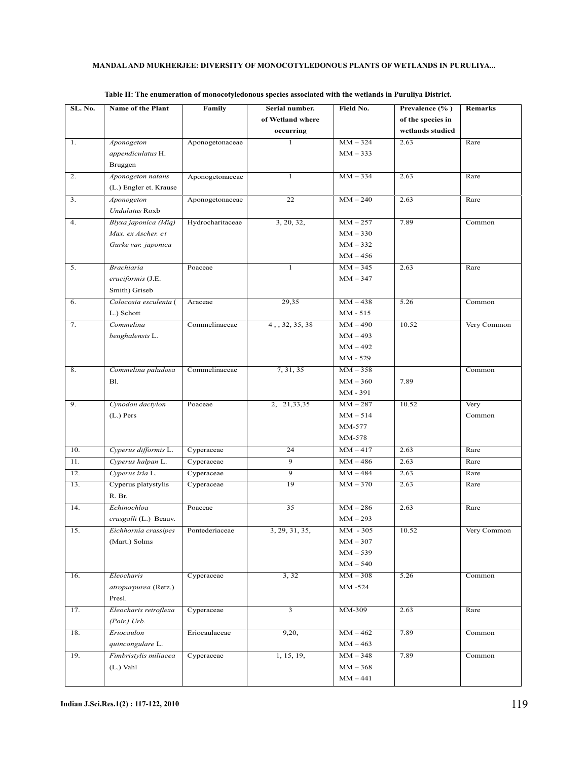| SL. No. | Name of the Plant      | Family           | Serial number.   | Field No.  | Prevalence (%)    | <b>Remarks</b> |
|---------|------------------------|------------------|------------------|------------|-------------------|----------------|
|         |                        |                  | of Wetland where |            | of the species in |                |
|         |                        |                  | occurring        |            | wetlands studied  |                |
| 1.      | Aponogeton             | Aponogetonaceae  | $\mathbf{1}$     | $MM - 324$ | 2.63              | Rare           |
|         | appendiculatus H.      |                  |                  | $MM - 333$ |                   |                |
|         | Bruggen                |                  |                  |            |                   |                |
| 2.      | Aponogeton natans      | Aponogetonaceae  | $\mathbf{1}$     | $MM - 334$ | 2.63              | Rare           |
|         | (L.) Engler et. Krause |                  |                  |            |                   |                |
| 3.      | Aponogeton             | Aponogetonaceae  | 22               | $MM - 240$ | 2.63              | Rare           |
|         | <b>Undulatus Roxb</b>  |                  |                  |            |                   |                |
| 4.      | Blyxa japonica (Miq)   | Hydrocharitaceae | 3, 20, 32,       | $MM - 257$ | 7.89              | Common         |
|         | Max. ex Ascher. et     |                  |                  | $MM - 330$ |                   |                |
|         | Gurke var. japonica    |                  |                  | $MM - 332$ |                   |                |
|         |                        |                  |                  | $MM - 456$ |                   |                |
| 5.      | <b>Brachiaria</b>      | Poaceae          | 1                | $MM - 345$ | 2.63              | Rare           |
|         | eruciformis (J.E.      |                  |                  | $MM - 347$ |                   |                |
|         | Smith) Griseb          |                  |                  |            |                   |                |
| 6.      | Colocosia esculenta (  | Araceae          | 29,35            | $MM - 438$ | 5.26              | Common         |
|         | L.) Schott             |                  |                  | MM - 515   |                   |                |
| 7.      | Commelina              | Commelinaceae    | 4, 32, 35, 38    | $MM - 490$ | 10.52             | Very Common    |
|         | benghalensis L.        |                  |                  | $MM - 493$ |                   |                |
|         |                        |                  |                  | $MM - 492$ |                   |                |
|         |                        |                  |                  | MM - 529   |                   |                |
| 8.      | Commelina paludosa     | Commelinaceae    | 7, 31, 35        | $MM - 358$ |                   | Common         |
|         | <b>B1.</b>             |                  |                  | $MM - 360$ | 7.89              |                |
|         |                        |                  |                  | MM - 391   |                   |                |
| 9.      | Cynodon dactylon       | Poaceae          | 2, 21, 33, 35    | $MM - 287$ | 10.52             | Very           |
|         | $(L.)$ Pers            |                  |                  | $MM - 514$ |                   | Common         |
|         |                        |                  |                  | MM-577     |                   |                |
|         |                        |                  |                  | MM-578     |                   |                |
| 10.     | Cyperus difformis L.   | Cyperaceae       | 24               | $MM - 417$ | 2.63              | Rare           |
| 11.     | Cyperus halpan L.      | Cyperaceae       | $\overline{9}$   | $MM - 486$ | 2.63              | Rare           |
| 12.     | Cyperus iria L.        | Cyperaceae       | 9                | $MM - 484$ | 2.63              | Rare           |
| 13.     | Cyperus platystylis    | Cyperaceae       | 19               | $MM - 370$ | 2.63              | Rare           |
|         | R. Br.                 |                  |                  |            |                   |                |
| 14.     | Echinochloa            | Poaceae          | 35               | $MM - 286$ | 2.63              | Rare           |
|         | crusgalli (L.) Beauv.  |                  |                  | $MM-293$   |                   |                |
| 15.     | Eichhornia crassipes   | Pontederiaceae   | 3, 29, 31, 35,   | MM - 305   | 10.52             | Very Common    |
|         | (Mart.) Solms          |                  |                  | $MM - 307$ |                   |                |
|         |                        |                  |                  | $MM - 539$ |                   |                |
|         |                        |                  |                  | $MM - 540$ |                   |                |
| 16.     | Eleocharis             | Cyperaceae       | 3, 32            | $MM - 308$ | 5.26              | Common         |
|         | atropurpurea (Retz.)   |                  |                  | MM -524    |                   |                |
|         | Presl.                 |                  |                  |            |                   |                |
| 17.     | Eleocharis retroflexa  | Cyperaceae       | 3                | MM-309     | 2.63              | Rare           |
|         | $(Poir.)$ Urb.         |                  |                  |            |                   |                |
| 18.     | Eriocaulon             | Eriocaulaceae    | 9,20,            | $MM - 462$ | 7.89              | Common         |
|         | quincongulare L.       |                  |                  | $MM - 463$ |                   |                |
| 19.     | Fimbristylis miliacea  | Cyperaceae       | 1, 15, 19,       | $MM - 348$ | 7.89              | Common         |
|         | $(L.)$ Vahl            |                  |                  | $MM - 368$ |                   |                |
|         |                        |                  |                  | $MM-441$   |                   |                |
|         |                        |                  |                  |            |                   |                |

**Table II: The enumeration of monocotyledonous species associated with the wetlands in Puruliya District.**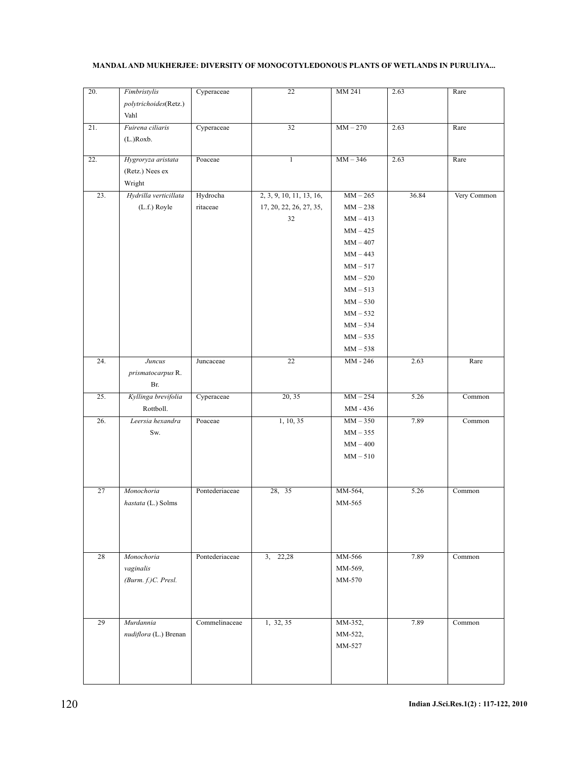| 20. | Fimbristylis<br>polytrichoides(Retz.)<br>Vahl   | Cyperaceae           | 22                                                        | MM 241                                                                                                                                                                                                    | 2.63  | Rare        |
|-----|-------------------------------------------------|----------------------|-----------------------------------------------------------|-----------------------------------------------------------------------------------------------------------------------------------------------------------------------------------------------------------|-------|-------------|
| 21. | Fuirena ciliaris<br>(L.)Roxb.                   | Cyperaceae           | 32                                                        | $MM - 270$                                                                                                                                                                                                | 2.63  | Rare        |
| 22. | Hygroryza aristata<br>(Retz.) Nees ex<br>Wright | Poaceae              | $\mathbf{1}$                                              | $MM - 346$                                                                                                                                                                                                | 2.63  | Rare        |
| 23. | Hydrilla verticillata<br>(L.f.) Royle           | Hydrocha<br>ritaceae | 2, 3, 9, 10, 11, 13, 16,<br>17, 20, 22, 26, 27, 35,<br>32 | $\overline{MM} - 265$<br>$MM-238$<br>$MM - 413$<br>$MM - 425$<br>$MM - 407$<br>$MM - 443$<br>$MM - 517$<br>$MM - 520$<br>$MM - 513$<br>$MM - 530$<br>$MM - 532$<br>$MM - 534$<br>$MM - 535$<br>$MM - 538$ | 36.84 | Very Common |
| 24. | Juncus<br>prismatocarpus R.<br>Br.              | Juncaceae            | 22                                                        | MM - 246                                                                                                                                                                                                  | 2.63  | Rare        |
| 25. | Kyllinga brevifolia<br>Rottboll.                | Cyperaceae           | 20, 35                                                    | $MM - 254$<br>MM - 436                                                                                                                                                                                    | 5.26  | Common      |
| 26. | Leersia hexandra<br>Sw.                         | Poaceae              | 1, 10, 35                                                 | $MM-350$<br>$MM-355$<br>$MM-400$<br>$MM - 510$                                                                                                                                                            | 7.89  | Common      |
| 27  | Monochoria<br>hastata (L.) Solms                | Pontederiaceae       | 28, 35                                                    | MM-564,<br>MM-565                                                                                                                                                                                         | 5.26  | Common      |
| 28  | Monochoria<br>vaginalis<br>(Burm. f.)C. Presl.  | Pontederiaceae       | 3, 22,28                                                  | MM-566<br>MM-569,<br>MM-570                                                                                                                                                                               | 7.89  | Common      |
| 29  | Murdannia<br>nudiflora (L.) Brenan              | Commelinaceae        | 1, 32, 35                                                 | MM-352,<br>MM-522,<br>MM-527                                                                                                                                                                              | 7.89  | Common      |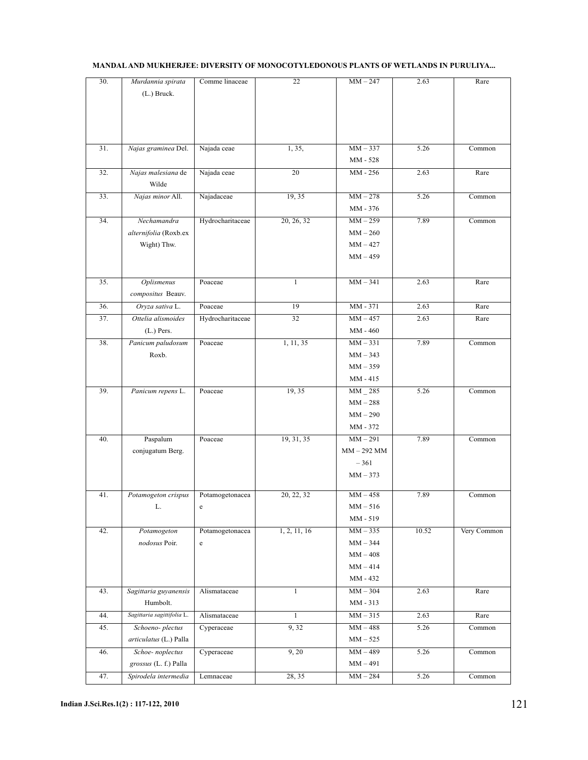| 30. | Murdannia spirata          | Comme linaceae   | 22           | $MM - 247$      | 2.63  | Rare        |
|-----|----------------------------|------------------|--------------|-----------------|-------|-------------|
|     | $(L.)$ Bruck.              |                  |              |                 |       |             |
|     |                            |                  |              |                 |       |             |
|     |                            |                  |              |                 |       |             |
|     |                            |                  |              |                 |       |             |
|     |                            |                  |              |                 |       |             |
| 31. | Najas graminea Del.        | Najada ceae      | 1, 35,       | $MM-337$        | 5.26  | Common      |
|     |                            |                  |              | MM - 528        |       |             |
| 32. | Najas malesiana de         | Najada ceae      | 20           | MM - 256        | 2.63  | Rare        |
|     | Wilde                      |                  |              |                 |       |             |
| 33. | Najas minor All.           | Najadaceae       | 19, 35       | $MM - 278$      | 5.26  | Common      |
|     |                            |                  |              |                 |       |             |
|     |                            |                  |              | MM - 376        |       |             |
| 34. | Nechamandra                | Hydrocharitaceae | 20, 26, 32   | $MM - 259$      | 7.89  | Common      |
|     | alternifolia (Roxb.ex      |                  |              | $MM-260$        |       |             |
|     | Wight) Thw.                |                  |              | $MM - 427$      |       |             |
|     |                            |                  |              | $MM-459$        |       |             |
|     |                            |                  |              |                 |       |             |
| 35. | Oplismenus                 | Poaceae          | 1            | $MM-341$        | 2.63  | Rare        |
|     | compositus Beauv.          |                  |              |                 |       |             |
| 36. | Oryza sativa L.            | Poaceae          | 19           | MM - 371        | 2.63  | Rare        |
|     |                            |                  |              |                 |       |             |
| 37. | Ottelia alismoides         | Hydrocharitaceae | 32           | $MM - 457$      | 2.63  | Rare        |
|     | $(L.)$ Pers.               |                  |              | MM - 460        |       |             |
| 38. | Panicum paludosum          | Poaceae          | 1, 11, 35    | $MM-331$        | 7.89  | Common      |
|     | Roxb.                      |                  |              | $MM - 343$      |       |             |
|     |                            |                  |              | $MM - 359$      |       |             |
|     |                            |                  |              | MM - 415        |       |             |
| 39. | Panicum repens L.          | Poaceae          | 19, 35       | MM 285          | 5.26  | Common      |
|     |                            |                  |              | $MM-288$        |       |             |
|     |                            |                  |              | $MM - 290$      |       |             |
|     |                            |                  |              | MM - 372        |       |             |
| 40. | Paspalum                   | Poaceae          | 19, 31, 35   | $MM - 291$      | 7.89  | Common      |
|     |                            |                  |              |                 |       |             |
|     | conjugatum Berg.           |                  |              | $MM - 292$ MM   |       |             |
|     |                            |                  |              | $-361$          |       |             |
|     |                            |                  |              | $MM - 373$      |       |             |
|     |                            |                  |              |                 |       |             |
| 41. | Potamogeton crispus        | Potamogetonacea  | 20, 22, 32   | $MM - 458$      | 7.89  | Common      |
|     | L.                         | c                |              | $MM - 516$      |       |             |
|     |                            |                  |              | MM - 519        |       |             |
| 42. | Potamogeton                | Potamogetonacea  | 1, 2, 11, 16 | $MM-335$        | 10.52 | Very Common |
|     | nodosus Poir.              | e                |              | $MM - 344$      |       |             |
|     |                            |                  |              | $MM-408$        |       |             |
|     |                            |                  |              | $MM - 414$      |       |             |
|     |                            |                  |              | MM - 432        |       |             |
| 43. | Sagittaria guyanensis      | Alismataceae     | $\mathbf{1}$ | $MM - 304$      | 2.63  | Rare        |
|     | Humbolt.                   |                  |              | MM - 313        |       |             |
| 44. | Sagittaria sagittifolia L. | Alismataceae     | $\mathbf{1}$ | $MM-315$        | 2.63  | Rare        |
| 45. | Schoeno-plectus            | Cyperaceae       | 9,32         | $MM-488$        | 5.26  |             |
|     |                            |                  |              |                 |       | Common      |
|     | articulatus (L.) Palla     |                  |              | $\text{MM}-525$ |       |             |
| 46. | Schoe-noplectus            | Cyperaceae       | 9, 20        | $MM-489$        | 5.26  | Common      |
|     | grossus (L. f.) Palla      |                  |              | $MM-491$        |       |             |
| 47. | Spirodela intermedia       | Lemnaceae        | 28, 35       | $MM - 284$      | 5.26  | Common      |